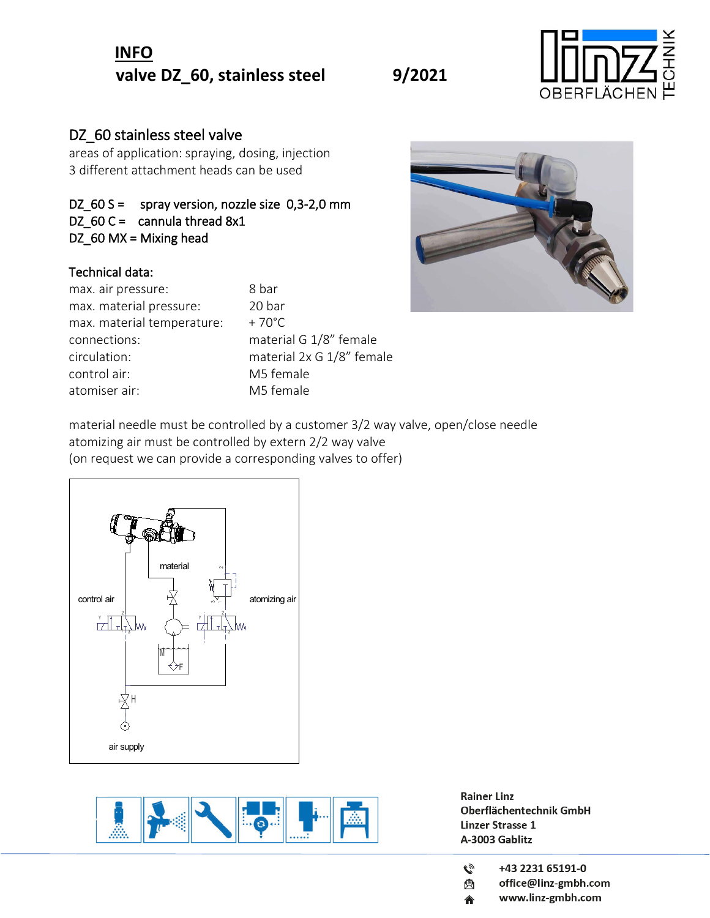## **INFO** valve DZ<sub>\_60</sub>, stainless steel 9/2021



### DZ 60 stainless steel valve

areas of application: spraying, dosing, injection 3 different attachment heads can be used

#### DZ\_60 S = spray version, nozzle size 0,3-2,0 mm DZ\_60 C = cannula thread  $8x1$ DZ\_60 MX = Mixing head

#### Technical data:

| 8 bar           |
|-----------------|
| 20 bar          |
| $+70^{\circ}$ C |
| materia         |
| materia         |
| M5 fen          |
| M5 fen          |
|                 |

0 bar aterial G 1/8" female aterial 2x G 1/8" female 15 female 15 female



material needle must be controlled by a customer 3/2 way valve, open/close needle atomizing air must be controlled by extern 2/2 way valve (on request we can provide a corresponding valves to offer)





- $\tilde{C}$ +43 2231 65191-0
- office@linz-gmbh.com ė.
- www.linz-gmbh.com 合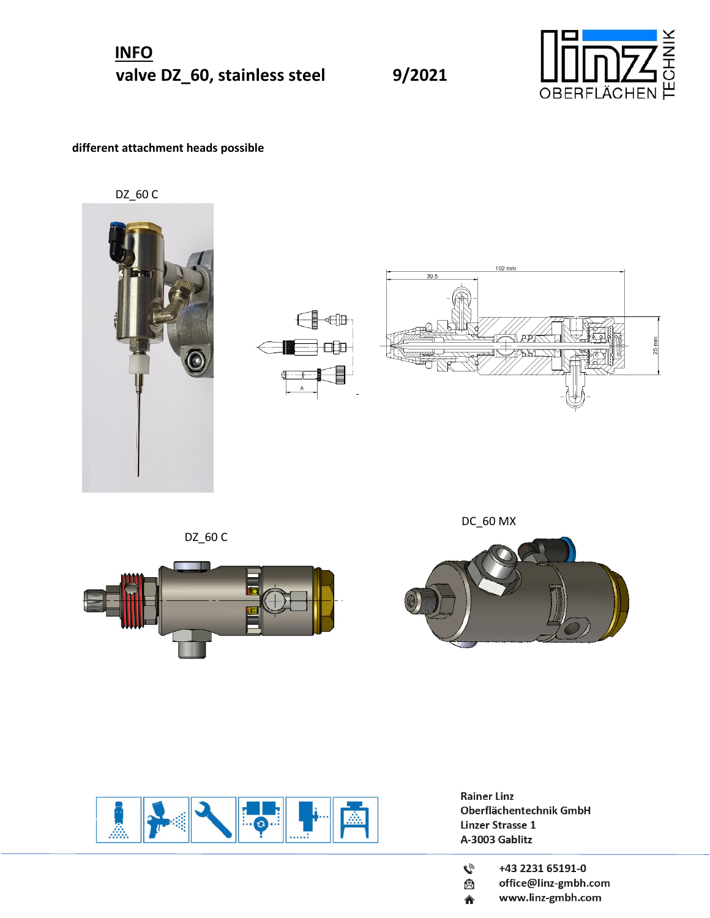**INFO** valve DZ\_60, stainless steel 9/2021



#### **different attachment heads possible**

DZ\_60 C







DZ\_60 C







- $\mathbf{C}_{\mathcal{D}}$ +43 2231 65191-0
- office@linz-gmbh.com ė.
- www.linz-gmbh.com 合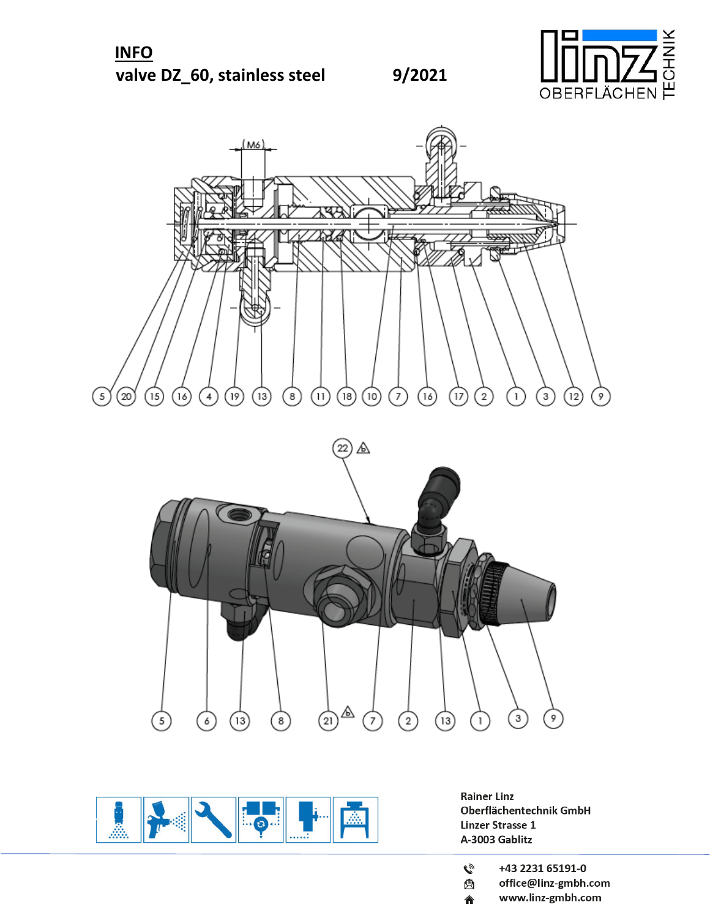





- $\mathbf{C}_{\mathcal{D}}$ +43 2231 65191-0
- office@linz-gmbh.com ė.
- www.linz-gmbh.com 合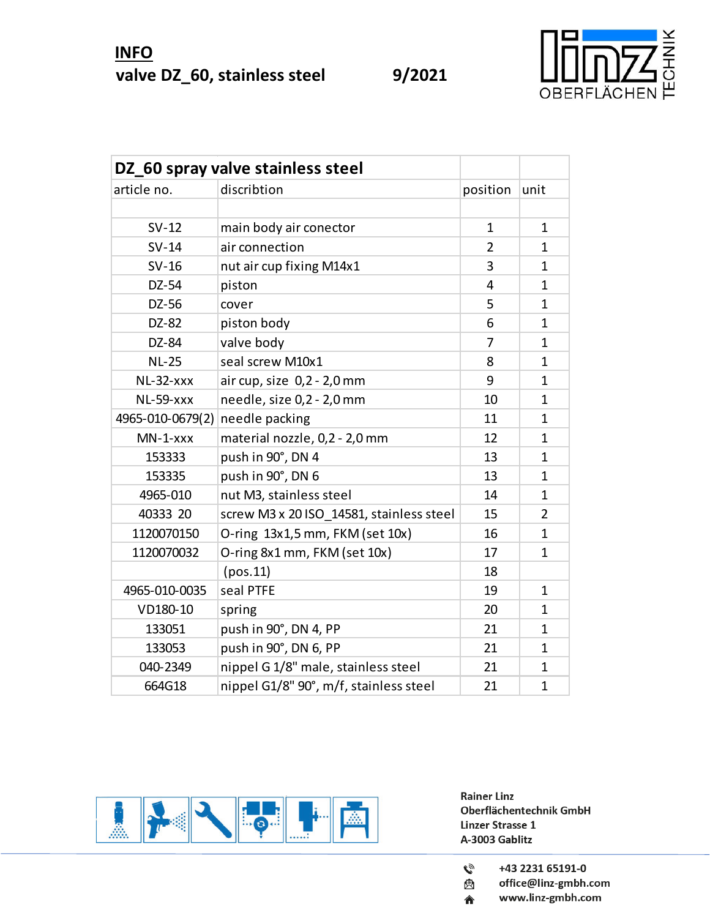

|                                 | DZ_60 spray valve stainless steel        |                |              |
|---------------------------------|------------------------------------------|----------------|--------------|
| article no.                     | discribtion                              | position       | unit         |
|                                 |                                          |                |              |
| $SV-12$                         | main body air conector                   | $\mathbf{1}$   | $\mathbf{1}$ |
| $SV-14$                         | air connection                           | $\overline{2}$ | $\mathbf{1}$ |
| $SV-16$                         | nut air cup fixing M14x1                 | 3              | $\mathbf{1}$ |
| DZ-54                           | piston                                   | 4              | $\mathbf{1}$ |
| DZ-56                           | cover                                    | 5              | $\mathbf{1}$ |
| DZ-82                           | piston body                              | 6              | $\mathbf{1}$ |
| DZ-84                           | valve body                               | $\overline{7}$ | $\mathbf{1}$ |
| <b>NL-25</b>                    | seal screw M10x1                         | 8              | $\mathbf{1}$ |
| $NL-32-xxx$                     | air cup, size 0,2 - 2,0 mm               | 9              | $\mathbf{1}$ |
| <b>NL-59-xxx</b>                | needle, size 0,2 - 2,0 mm                | 10             | $\mathbf{1}$ |
| 4965-010-0679(2) needle packing |                                          | 11             | $\mathbf{1}$ |
| $MN-1-xxxx$                     | material nozzle, 0,2 - 2,0 mm            | 12             | $\mathbf{1}$ |
| 153333                          | push in 90°, DN 4                        | 13             | $\mathbf{1}$ |
| 153335                          | push in 90°, DN 6                        | 13             | $\mathbf{1}$ |
| 4965-010                        | nut M3, stainless steel                  | 14             | $\mathbf{1}$ |
| 40333 20                        | screw M3 x 20 ISO 14581, stainless steel | 15             | 2            |
| 1120070150                      | O-ring 13x1,5 mm, FKM (set 10x)          | 16             | $\mathbf{1}$ |
| 1120070032                      | O-ring 8x1 mm, FKM (set 10x)             | 17             | $\mathbf{1}$ |
|                                 | (pos.11)                                 | 18             |              |
| 4965-010-0035                   | seal PTFE                                | 19             | $\mathbf{1}$ |
| VD180-10                        | spring                                   | 20             | $\mathbf{1}$ |
| 133051                          | push in 90°, DN 4, PP                    | 21             | $\mathbf{1}$ |
| 133053                          | push in 90°, DN 6, PP                    | 21             | $\mathbf{1}$ |
| 040-2349                        | nippel G 1/8" male, stainless steel      | 21             | $\mathbf 1$  |
| 664G18                          | nippel G1/8" 90°, m/f, stainless steel   | 21             | $\mathbf{1}$ |



- $\mathcal{C}_{\mathcal{Y}}$ +43 2231 65191-0
- office@linz-gmbh.com Q
- www.linz-gmbh.com 合